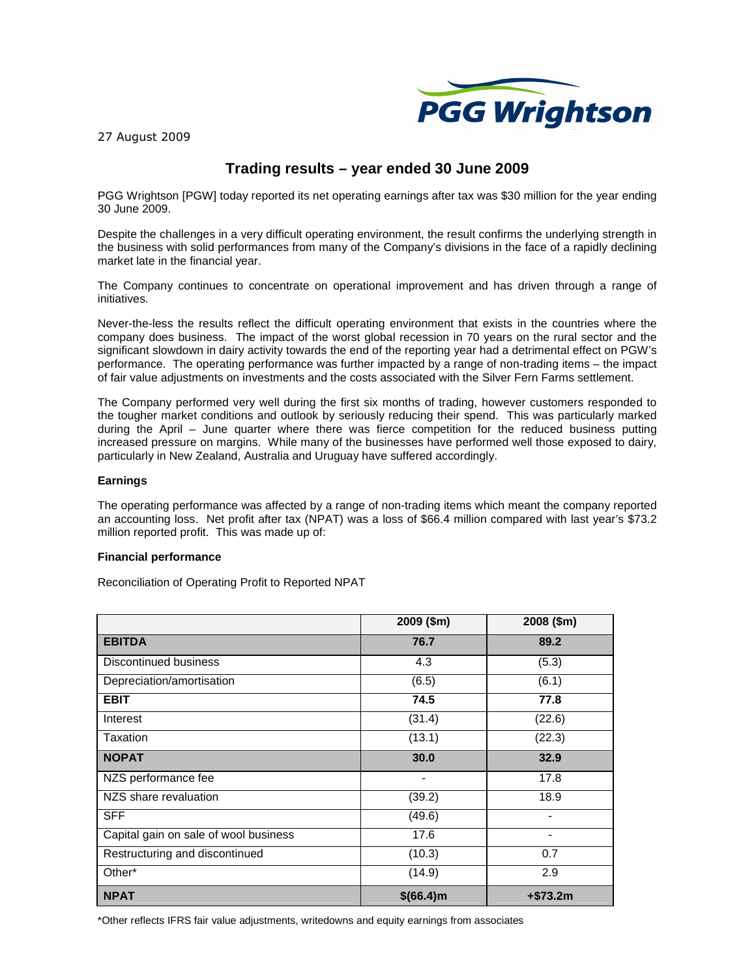

27 August 2009

# **Trading results – year ended 30 June 2009**

PGG Wrightson [PGW] today reported its net operating earnings after tax was \$30 million for the year ending 30 June 2009.

Despite the challenges in a very difficult operating environment, the result confirms the underlying strength in the business with solid performances from many of the Company's divisions in the face of a rapidly declining market late in the financial year.

The Company continues to concentrate on operational improvement and has driven through a range of initiatives.

Never-the-less the results reflect the difficult operating environment that exists in the countries where the company does business. The impact of the worst global recession in 70 years on the rural sector and the significant slowdown in dairy activity towards the end of the reporting year had a detrimental effect on PGW's performance. The operating performance was further impacted by a range of non-trading items – the impact of fair value adjustments on investments and the costs associated with the Silver Fern Farms settlement.

The Company performed very well during the first six months of trading, however customers responded to the tougher market conditions and outlook by seriously reducing their spend. This was particularly marked during the April – June quarter where there was fierce competition for the reduced business putting increased pressure on margins. While many of the businesses have performed well those exposed to dairy, particularly in New Zealand, Australia and Uruguay have suffered accordingly.

## **Earnings**

The operating performance was affected by a range of non-trading items which meant the company reported an accounting loss. Net profit after tax (NPAT) was a loss of \$66.4 million compared with last year's \$73.2 million reported profit. This was made up of:

#### **Financial performance**

Reconciliation of Operating Profit to Reported NPAT

|                                       | 2009 (\$m) | 2008 (\$m) |
|---------------------------------------|------------|------------|
| <b>EBITDA</b>                         | 76.7       | 89.2       |
| Discontinued business                 | 4.3        | (5.3)      |
| Depreciation/amortisation             | (6.5)      | (6.1)      |
| <b>EBIT</b>                           | 74.5       | 77.8       |
| Interest                              | (31.4)     | (22.6)     |
| Taxation                              | (13.1)     | (22.3)     |
| <b>NOPAT</b>                          | 30.0       | 32.9       |
| NZS performance fee                   | -          | 17.8       |
| NZS share revaluation                 | (39.2)     | 18.9       |
| <b>SFF</b>                            | (49.6)     |            |
| Capital gain on sale of wool business | 17.6       |            |
| Restructuring and discontinued        | (10.3)     | 0.7        |
| Other*                                | (14.9)     | 2.9        |
| <b>NPAT</b>                           | \$(66.4)m  | $+ $73.2m$ |

\*Other reflects IFRS fair value adjustments, writedowns and equity earnings from associates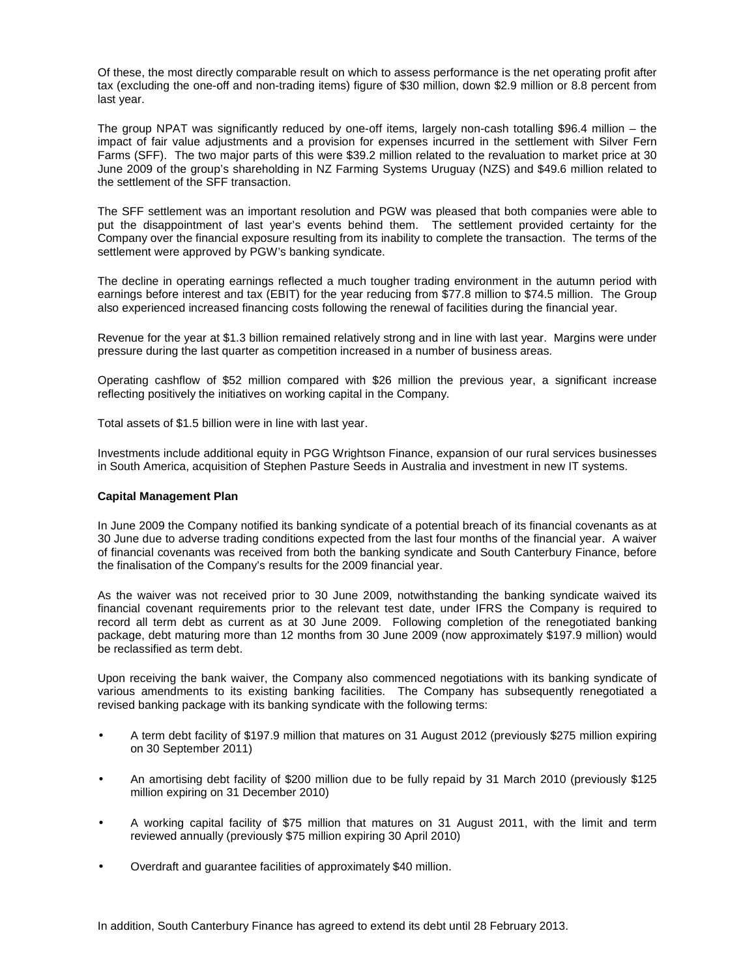Of these, the most directly comparable result on which to assess performance is the net operating profit after tax (excluding the one-off and non-trading items) figure of \$30 million, down \$2.9 million or 8.8 percent from last year.

The group NPAT was significantly reduced by one-off items, largely non-cash totalling \$96.4 million – the impact of fair value adjustments and a provision for expenses incurred in the settlement with Silver Fern Farms (SFF). The two major parts of this were \$39.2 million related to the revaluation to market price at 30 June 2009 of the group's shareholding in NZ Farming Systems Uruguay (NZS) and \$49.6 million related to the settlement of the SFF transaction.

The SFF settlement was an important resolution and PGW was pleased that both companies were able to put the disappointment of last year's events behind them. The settlement provided certainty for the Company over the financial exposure resulting from its inability to complete the transaction. The terms of the settlement were approved by PGW's banking syndicate.

The decline in operating earnings reflected a much tougher trading environment in the autumn period with earnings before interest and tax (EBIT) for the year reducing from \$77.8 million to \$74.5 million. The Group also experienced increased financing costs following the renewal of facilities during the financial year.

Revenue for the year at \$1.3 billion remained relatively strong and in line with last year. Margins were under pressure during the last quarter as competition increased in a number of business areas.

Operating cashflow of \$52 million compared with \$26 million the previous year, a significant increase reflecting positively the initiatives on working capital in the Company.

Total assets of \$1.5 billion were in line with last year.

Investments include additional equity in PGG Wrightson Finance, expansion of our rural services businesses in South America, acquisition of Stephen Pasture Seeds in Australia and investment in new IT systems.

#### **Capital Management Plan**

In June 2009 the Company notified its banking syndicate of a potential breach of its financial covenants as at 30 June due to adverse trading conditions expected from the last four months of the financial year. A waiver of financial covenants was received from both the banking syndicate and South Canterbury Finance, before the finalisation of the Company's results for the 2009 financial year.

As the waiver was not received prior to 30 June 2009, notwithstanding the banking syndicate waived its financial covenant requirements prior to the relevant test date, under IFRS the Company is required to record all term debt as current as at 30 June 2009. Following completion of the renegotiated banking package, debt maturing more than 12 months from 30 June 2009 (now approximately \$197.9 million) would be reclassified as term debt.

Upon receiving the bank waiver, the Company also commenced negotiations with its banking syndicate of various amendments to its existing banking facilities. The Company has subsequently renegotiated a revised banking package with its banking syndicate with the following terms:

- A term debt facility of \$197.9 million that matures on 31 August 2012 (previously \$275 million expiring on 30 September 2011)
- An amortising debt facility of \$200 million due to be fully repaid by 31 March 2010 (previously \$125 million expiring on 31 December 2010)
- A working capital facility of \$75 million that matures on 31 August 2011, with the limit and term reviewed annually (previously \$75 million expiring 30 April 2010)
- Overdraft and guarantee facilities of approximately \$40 million.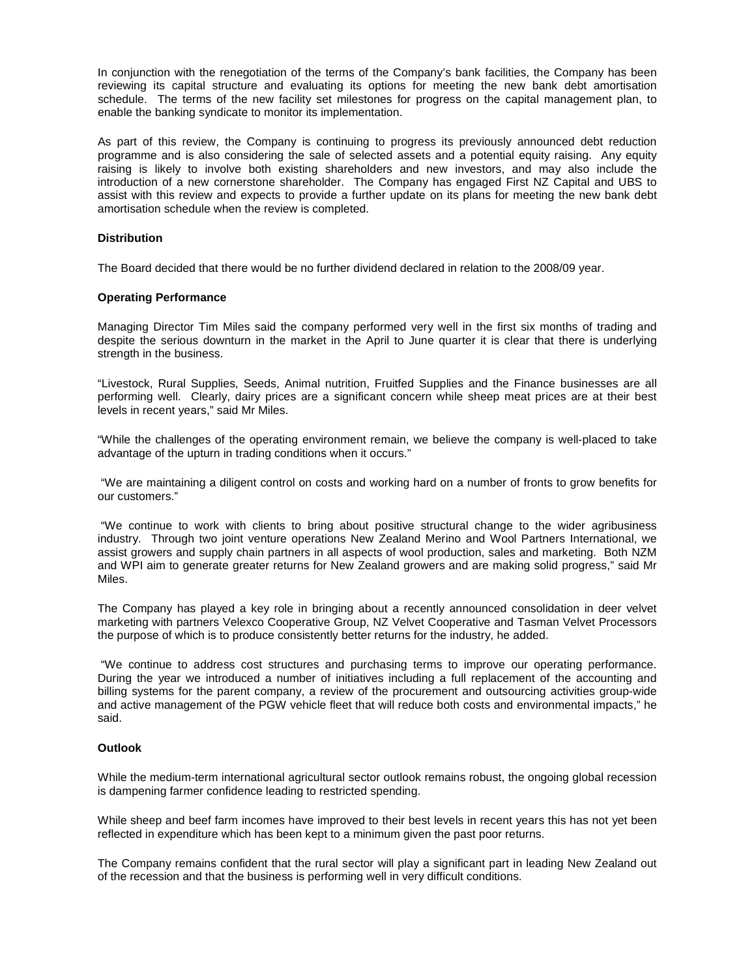In conjunction with the renegotiation of the terms of the Company's bank facilities, the Company has been reviewing its capital structure and evaluating its options for meeting the new bank debt amortisation schedule. The terms of the new facility set milestones for progress on the capital management plan, to enable the banking syndicate to monitor its implementation.

As part of this review, the Company is continuing to progress its previously announced debt reduction programme and is also considering the sale of selected assets and a potential equity raising. Any equity raising is likely to involve both existing shareholders and new investors, and may also include the introduction of a new cornerstone shareholder. The Company has engaged First NZ Capital and UBS to assist with this review and expects to provide a further update on its plans for meeting the new bank debt amortisation schedule when the review is completed.

#### **Distribution**

The Board decided that there would be no further dividend declared in relation to the 2008/09 year.

#### **Operating Performance**

Managing Director Tim Miles said the company performed very well in the first six months of trading and despite the serious downturn in the market in the April to June quarter it is clear that there is underlying strength in the business.

"Livestock, Rural Supplies, Seeds, Animal nutrition, Fruitfed Supplies and the Finance businesses are all performing well. Clearly, dairy prices are a significant concern while sheep meat prices are at their best levels in recent years," said Mr Miles.

"While the challenges of the operating environment remain, we believe the company is well-placed to take advantage of the upturn in trading conditions when it occurs."

 "We are maintaining a diligent control on costs and working hard on a number of fronts to grow benefits for our customers."

 "We continue to work with clients to bring about positive structural change to the wider agribusiness industry. Through two joint venture operations New Zealand Merino and Wool Partners International, we assist growers and supply chain partners in all aspects of wool production, sales and marketing. Both NZM and WPI aim to generate greater returns for New Zealand growers and are making solid progress," said Mr Miles.

The Company has played a key role in bringing about a recently announced consolidation in deer velvet marketing with partners Velexco Cooperative Group, NZ Velvet Cooperative and Tasman Velvet Processors the purpose of which is to produce consistently better returns for the industry, he added.

 "We continue to address cost structures and purchasing terms to improve our operating performance. During the year we introduced a number of initiatives including a full replacement of the accounting and billing systems for the parent company, a review of the procurement and outsourcing activities group-wide and active management of the PGW vehicle fleet that will reduce both costs and environmental impacts," he said.

### **Outlook**

While the medium-term international agricultural sector outlook remains robust, the ongoing global recession is dampening farmer confidence leading to restricted spending.

While sheep and beef farm incomes have improved to their best levels in recent years this has not yet been reflected in expenditure which has been kept to a minimum given the past poor returns.

The Company remains confident that the rural sector will play a significant part in leading New Zealand out of the recession and that the business is performing well in very difficult conditions.